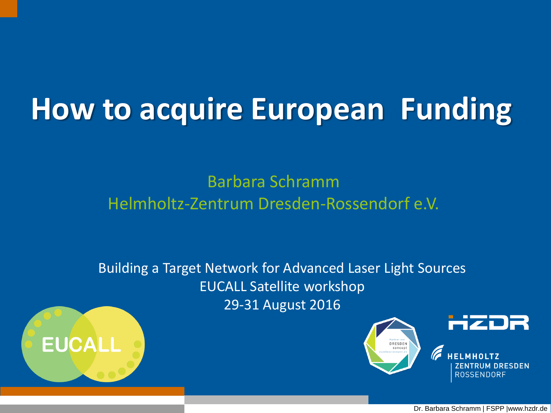# **How to acquire European Funding**

Barbara Schramm Helmholtz-Zentrum Dresden-Rossendorf e.V.

Building a Target Network for Advanced Laser Light Sources EUCALL Satellite workshop 29-31 August 2016





Dr. Barbara Schramm | FSPP |www.hzdr.de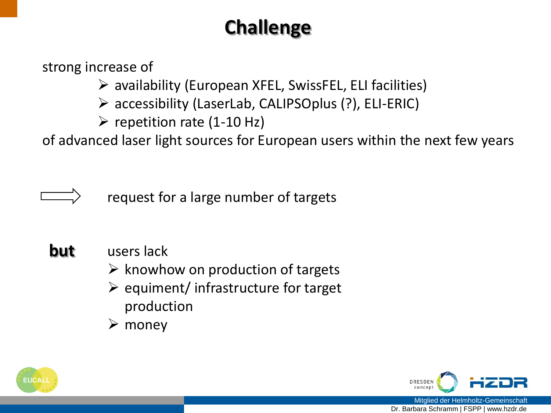### **Challenge**

strong increase of

 $\triangleright$  availability (European XFEL, SwissFEL, ELI facilities)

- accessibility (LaserLab, CALIPSOplus (?), ELI-ERIC)
- $\triangleright$  repetition rate (1-10 Hz)

of advanced laser light sources for European users within the next few years

request for a large number of targets

- **but** users lack
	- $\triangleright$  knowhow on production of targets
	- $\triangleright$  equiment/ infrastructure for target production
	- $\triangleright$  money



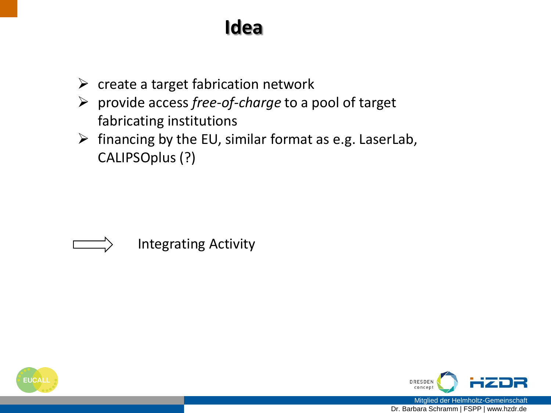### **Idea**

- $\triangleright$  create a target fabrication network
- provide access *free-of-charge* to a pool of target fabricating institutions
- $\triangleright$  financing by the EU, similar format as e.g. LaserLab, CALIPSOplus (?)





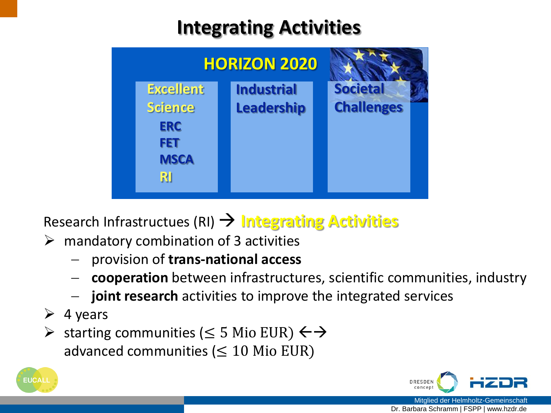### **Integrating Activities**



Research Infrastructues (RI) **Integrating Activities**

- $\triangleright$  mandatory combination of 3 activities
	- provision of **trans-national access**
	- **cooperation** between infrastructures, scientific communities, industry
	- **joint research** activities to improve the integrated services
- $\triangleright$  4 years
- $\triangleright$  starting communities (≤ 5 Mio EUR)  $\leftrightarrow$ advanced communities ( $\leq 10$  Mio EUR)



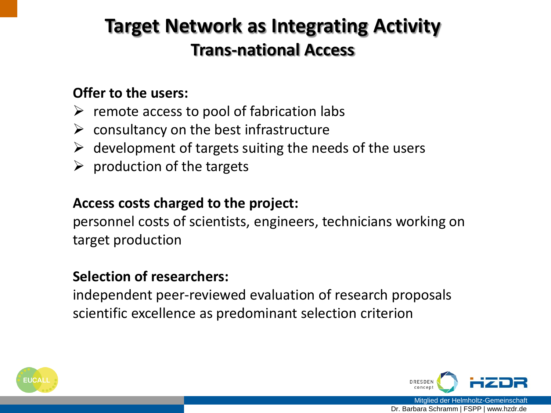### **Target Network as Integrating Activity Trans-national Access**

### **Offer to the users:**

- $\triangleright$  remote access to pool of fabrication labs
- $\triangleright$  consultancy on the best infrastructure
- $\triangleright$  development of targets suiting the needs of the users
- $\triangleright$  production of the targets

#### **Access costs charged to the project:**

personnel costs of scientists, engineers, technicians working on target production

#### **Selection of researchers:**

independent peer-reviewed evaluation of research proposals scientific excellence as predominant selection criterion



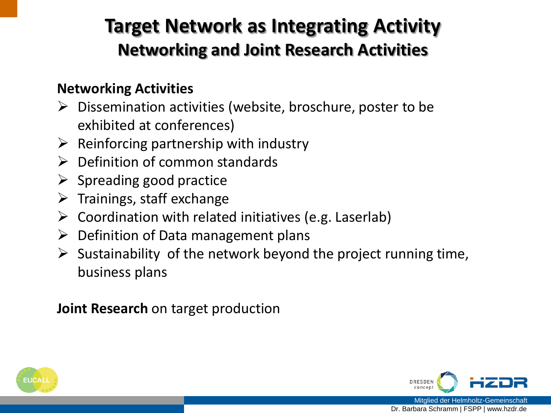### **Target Network as Integrating Activity Networking and Joint Research Activities**

#### **Networking Activities**

- $\triangleright$  Dissemination activities (website, broschure, poster to be exhibited at conferences)
- $\triangleright$  Reinforcing partnership with industry
- $\triangleright$  Definition of common standards
- $\triangleright$  Spreading good practice
- $\triangleright$  Trainings, staff exchange
- $\triangleright$  Coordination with related initiatives (e.g. Laserlab)
- $\triangleright$  Definition of Data management plans
- $\triangleright$  Sustainability of the network beyond the project running time, business plans

**Joint Research** on target production



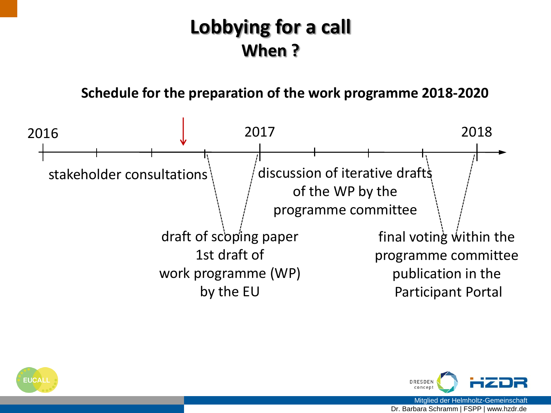### **Lobbying for a call When ?**

#### **Schedule for the preparation of the work programme 2018-2020**





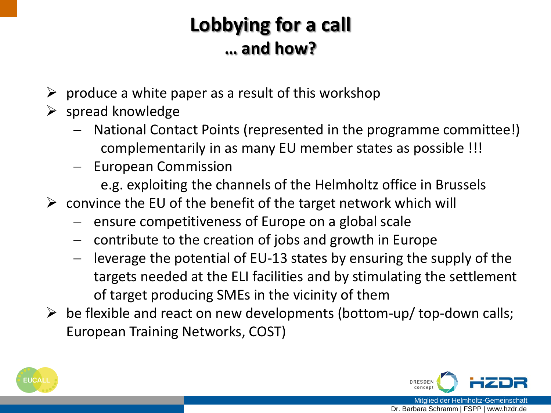### **Lobbying for a call … and how?**

- $\triangleright$  produce a white paper as a result of this workshop
- $\triangleright$  spread knowledge
	- National Contact Points (represented in the programme committee!) complementarily in as many EU member states as possible !!!
	- European Commission
		- e.g. exploiting the channels of the Helmholtz office in Brussels
- $\triangleright$  convince the EU of the benefit of the target network which will
	- $-$  ensure competitiveness of Europe on a global scale
	- contribute to the creation of jobs and growth in Europe
	- leverage the potential of EU-13 states by ensuring the supply of the targets needed at the ELI facilities and by stimulating the settlement of target producing SMEs in the vicinity of them
- $\triangleright$  be flexible and react on new developments (bottom-up/ top-down calls; European Training Networks, COST)